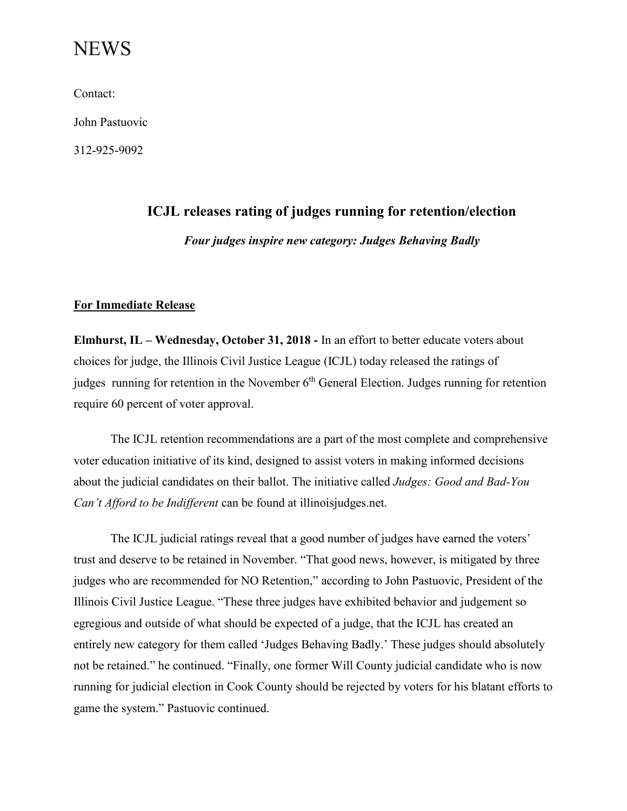# **NEWS**

Contact:

John Pastuovic

312-925-9092

# **ICJL releases rating of judges running for retention/election**

*Four judges inspire new category: Judges Behaving Badly*

### **For Immediate Release**

**Elmhurst, IL – Wednesday, October 31, 2018 -** In an effort to better educate voters about choices for judge, the Illinois Civil Justice League (ICJL) today released the ratings of judges running for retention in the November 6<sup>th</sup> General Election. Judges running for retention require 60 percent of voter approval.

The ICJL retention recommendations are a part of the most complete and comprehensive voter education initiative of its kind, designed to assist voters in making informed decisions about the judicial candidates on their ballot. The initiative called *Judges: Good and Bad-You Can't Afford to be Indifferent* can be found at illinoisjudges.net.

The ICJL judicial ratings reveal that a good number of judges have earned the voters' trust and deserve to be retained in November. "That good news, however, is mitigated by three judges who are recommended for NO Retention," according to John Pastuovic, President of the Illinois Civil Justice League. "These three judges have exhibited behavior and judgement so egregious and outside of what should be expected of a judge, that the ICJL has created an entirely new category for them called 'Judges Behaving Badly.' These judges should absolutely not be retained." he continued. "Finally, one former Will County judicial candidate who is now running for judicial election in Cook County should be rejected by voters for his blatant efforts to game the system." Pastuovic continued.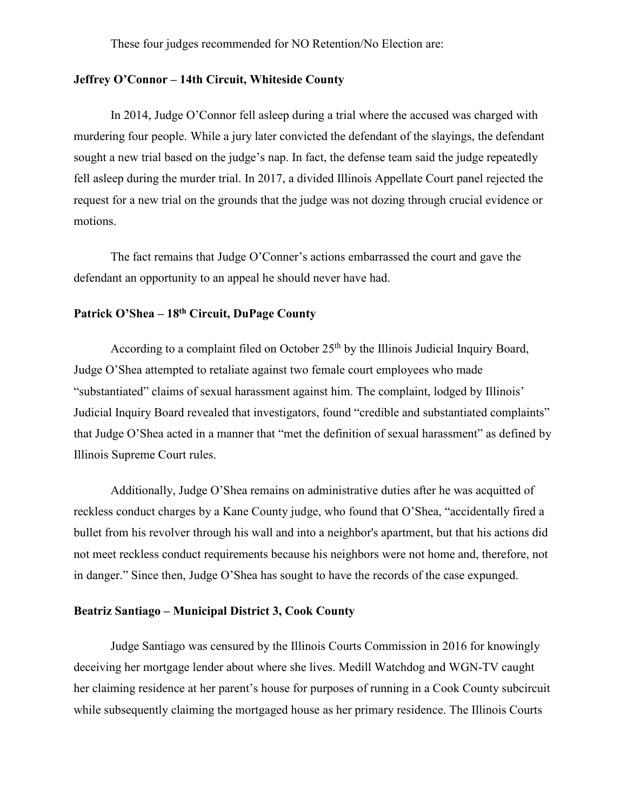These four judges recommended for NO Retention/No Election are:

### **Jeffrey O'Connor – 14th Circuit, Whiteside County**

In 2014, Judge O'Connor fell asleep during a trial where the accused was charged with murdering four people. While a jury later convicted the defendant of the slayings, the defendant sought a new trial based on the judge's nap. In fact, the defense team said the judge repeatedly fell asleep during the murder trial. In 2017, a divided Illinois Appellate Court panel rejected the request for a new trial on the grounds that the judge was not dozing through crucial evidence or motions.

The fact remains that Judge O'Conner's actions embarrassed the court and gave the defendant an opportunity to an appeal he should never have had.

# **Patrick O'Shea – 18th Circuit, DuPage County**

According to a complaint filed on October  $25<sup>th</sup>$  by the Illinois Judicial Inquiry Board, Judge O'Shea attempted to retaliate against two female court employees who made "substantiated" claims of sexual harassment against him. The complaint, lodged by Illinois' Judicial Inquiry Board revealed that investigators, found "credible and substantiated complaints" that Judge O'Shea acted in a manner that "met the definition of sexual harassment" as defined by Illinois Supreme Court rules.

Additionally, Judge O'Shea remains on administrative duties after he was acquitted of reckless conduct charges by a Kane County judge, who found that O'Shea, "accidentally fired a bullet from his revolver through his wall and into a neighbor's apartment, but that his actions did not meet reckless conduct requirements because his neighbors were not home and, therefore, not in danger." Since then, Judge O'Shea has sought to have the records of the case expunged.

#### **Beatriz Santiago – Municipal District 3, Cook County**

Judge Santiago was censured by the Illinois Courts Commission in 2016 for knowingly deceiving her mortgage lender about where she lives. Medill Watchdog and WGN-TV caught her claiming residence at her parent's house for purposes of running in a Cook County subcircuit while subsequently claiming the mortgaged house as her primary residence. The Illinois Courts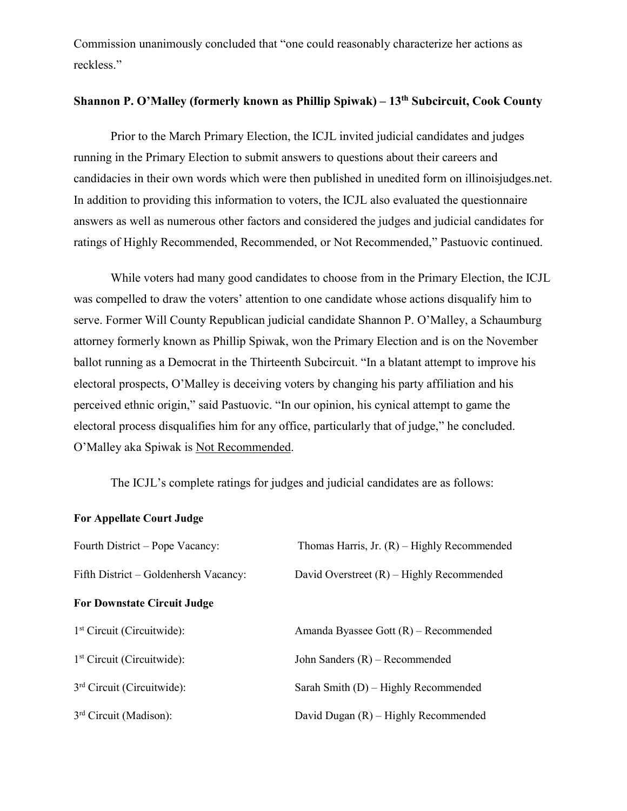Commission unanimously concluded that "one could reasonably characterize her actions as reckless."

## **Shannon P. O'Malley (formerly known as Phillip Spiwak) – 13th Subcircuit, Cook County**

Prior to the March Primary Election, the ICJL invited judicial candidates and judges running in the Primary Election to submit answers to questions about their careers and candidacies in their own words which were then published in unedited form on illinoisjudges.net. In addition to providing this information to voters, the ICJL also evaluated the questionnaire answers as well as numerous other factors and considered the judges and judicial candidates for ratings of Highly Recommended, Recommended, or Not Recommended," Pastuovic continued.

While voters had many good candidates to choose from in the Primary Election, the ICJL was compelled to draw the voters' attention to one candidate whose actions disqualify him to serve. Former Will County Republican judicial candidate Shannon P. O'Malley, a Schaumburg attorney formerly known as Phillip Spiwak, won the Primary Election and is on the November ballot running as a Democrat in the Thirteenth Subcircuit. "In a blatant attempt to improve his electoral prospects, O'Malley is deceiving voters by changing his party affiliation and his perceived ethnic origin," said Pastuovic. "In our opinion, his cynical attempt to game the electoral process disqualifies him for any office, particularly that of judge," he concluded. O'Malley aka Spiwak is Not Recommended.

The ICJL's complete ratings for judges and judicial candidates are as follows:

#### **For Appellate Court Judge**

| Fourth District – Pope Vacancy:       | Thomas Harris, Jr. $(R)$ – Highly Recommended |
|---------------------------------------|-----------------------------------------------|
| Fifth District – Goldenhersh Vacancy: | David Overstreet $(R)$ – Highly Recommended   |
| <b>For Downstate Circuit Judge</b>    |                                               |
| $1st$ Circuit (Circuitwide):          | Amanda Byassee Gott $(R)$ – Recommended       |
| $1st$ Circuit (Circuitwide):          | John Sanders $(R)$ – Recommended              |
| $3rd$ Circuit (Circuitwide):          | Sarah Smith $(D)$ – Highly Recommended        |
| $3rd$ Circuit (Madison):              | David Dugan (R) – Highly Recommended          |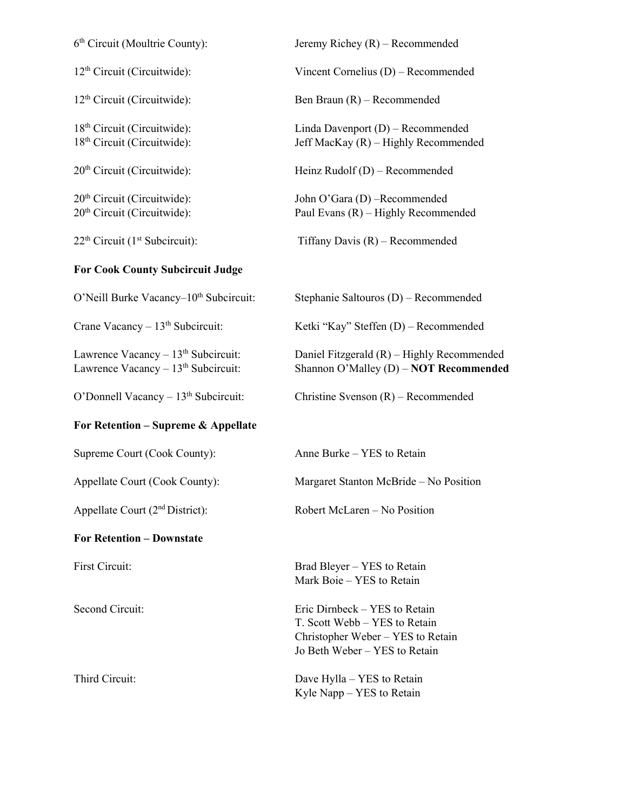| 6 <sup>th</sup> Circuit (Moultrie County):                                              | Jeremy Richey $(R)$ – Recommended                                                                                                    |
|-----------------------------------------------------------------------------------------|--------------------------------------------------------------------------------------------------------------------------------------|
| 12 <sup>th</sup> Circuit (Circuitwide):                                                 | Vincent Cornelius (D) – Recommended                                                                                                  |
| 12 <sup>th</sup> Circuit (Circuitwide):                                                 | Ben Braun $(R)$ – Recommended                                                                                                        |
| 18 <sup>th</sup> Circuit (Circuitwide):<br>18 <sup>th</sup> Circuit (Circuitwide):      | Linda Davenport $(D)$ – Recommended<br>Jeff MacKay (R) - Highly Recommended                                                          |
| 20 <sup>th</sup> Circuit (Circuitwide):                                                 | Heinz Rudolf $(D)$ – Recommended                                                                                                     |
| $20th$ Circuit (Circuitwide):<br>20 <sup>th</sup> Circuit (Circuitwide):                | John O'Gara (D) -Recommended<br>Paul Evans (R) - Highly Recommended                                                                  |
| $22th$ Circuit (1 <sup>st</sup> Subcircuit):                                            | Tiffany Davis $(R)$ – Recommended                                                                                                    |
| <b>For Cook County Subcircuit Judge</b>                                                 |                                                                                                                                      |
| O'Neill Burke Vacancy-10 <sup>th</sup> Subcircuit:                                      | Stephanie Saltouros (D) - Recommended                                                                                                |
| Crane Vacancy - 13 <sup>th</sup> Subcircuit:                                            | Ketki "Kay" Steffen (D) – Recommended                                                                                                |
| Lawrence Vacancy $-13th$ Subcircuit:<br>Lawrence Vacancy - 13 <sup>th</sup> Subcircuit: | Daniel Fitzgerald $(R)$ – Highly Recommended<br>Shannon O'Malley (D) - NOT Recommended                                               |
| O'Donnell Vacancy $-13th$ Subcircuit:                                                   | Christine Svenson $(R)$ – Recommended                                                                                                |
| For Retention - Supreme & Appellate                                                     |                                                                                                                                      |
| Supreme Court (Cook County):                                                            | Anne Burke – YES to Retain                                                                                                           |
| Appellate Court (Cook County):                                                          | Margaret Stanton McBride - No Position                                                                                               |
| Appellate Court (2 <sup>nd</sup> District):                                             | Robert McLaren - No Position                                                                                                         |
| <b>For Retention – Downstate</b>                                                        |                                                                                                                                      |
| First Circuit:                                                                          | Brad Bleyer – YES to Retain<br>Mark Boie – YES to Retain                                                                             |
| Second Circuit:                                                                         | Eric Dirnbeck – YES to Retain<br>T. Scott Webb – YES to Retain<br>Christopher Weber - YES to Retain<br>Jo Beth Weber - YES to Retain |
| Third Circuit:                                                                          | Dave Hylla – YES to Retain<br>Kyle Napp – YES to Retain                                                                              |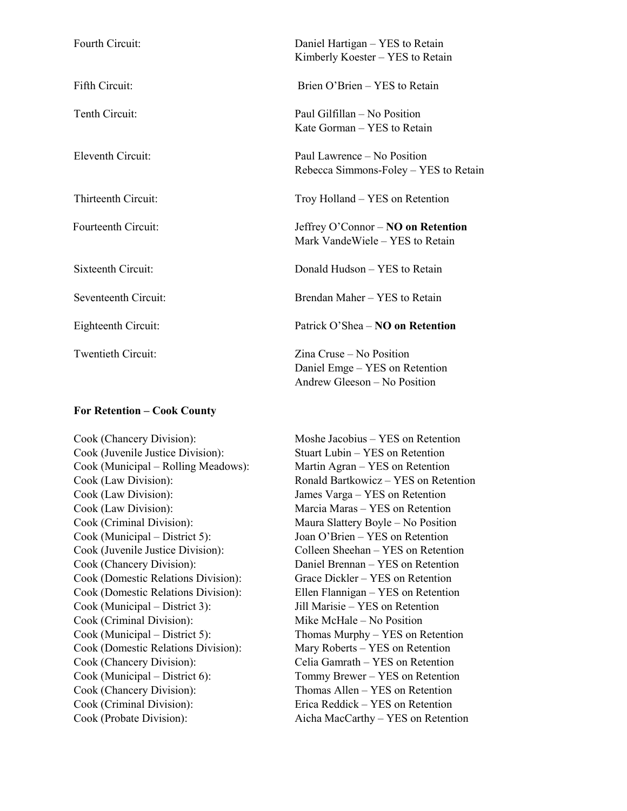| Fourth Circuit:      | Daniel Hartigan - YES to Retain<br>Kimberly Koester – YES to Retain                        |
|----------------------|--------------------------------------------------------------------------------------------|
| Fifth Circuit:       | Brien O'Brien – YES to Retain                                                              |
| Tenth Circuit:       | Paul Gilfillan - No Position<br>Kate Gorman – YES to Retain                                |
| Eleventh Circuit:    | Paul Lawrence – No Position<br>Rebecca Simmons-Foley – YES to Retain                       |
| Thirteenth Circuit:  | Troy Holland – YES on Retention                                                            |
| Fourteenth Circuit:  | Jeffrey O'Connor $-$ NO on Retention<br>Mark VandeWiele – YES to Retain                    |
| Sixteenth Circuit:   | Donald Hudson – YES to Retain                                                              |
| Seventeenth Circuit: | Brendan Maher - YES to Retain                                                              |
| Eighteenth Circuit:  | Patrick O'Shea – NO on Retention                                                           |
| Twentieth Circuit:   | Zina Cruse – No Position<br>Daniel Emge – YES on Retention<br>Andrew Gleeson – No Position |

#### **For Retention – Cook County**

Cook (Chancery Division): Moshe Jacobius – YES on Retention Cook (Juvenile Justice Division): Stuart Lubin – YES on Retention Cook (Municipal – Rolling Meadows): Martin Agran – YES on Retention Cook (Law Division): James Varga – YES on Retention Cook (Law Division): Marcia Maras – YES on Retention Cook (Criminal Division): Maura Slattery Boyle – No Position Cook (Municipal – District 5): Joan O'Brien – YES on Retention Cook (Juvenile Justice Division): Colleen Sheehan – YES on Retention Cook (Chancery Division): Daniel Brennan – YES on Retention Cook (Domestic Relations Division): Grace Dickler – YES on Retention Cook (Domestic Relations Division): Ellen Flannigan – YES on Retention Cook (Municipal – District 3): Jill Marisie – YES on Retention Cook (Criminal Division): Mike McHale – No Position Cook (Municipal – District 5): Thomas Murphy – YES on Retention Cook (Domestic Relations Division): Mary Roberts – YES on Retention Cook (Chancery Division): Celia Gamrath – YES on Retention Cook (Municipal – District 6): Tommy Brewer – YES on Retention Cook (Chancery Division): Thomas Allen – YES on Retention Cook (Criminal Division): Erica Reddick – YES on Retention

Cook (Law Division): Ronald Bartkowicz – YES on Retention Cook (Probate Division): Aicha MacCarthy – YES on Retention